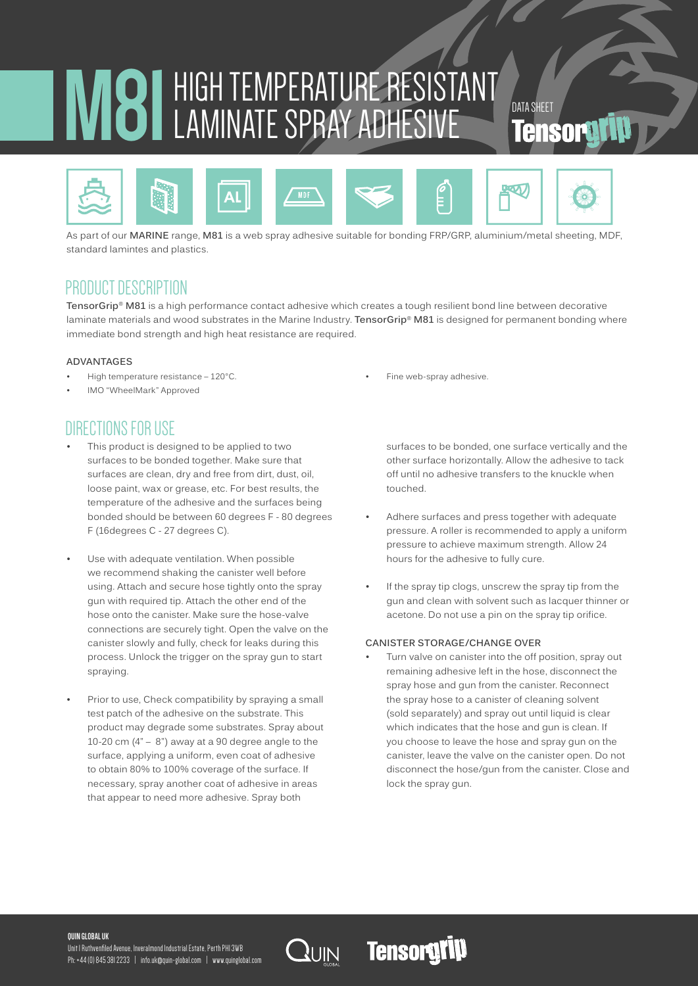# **M81** HIGH TEMPERATURE RESISTANT LAMINATE SPRAY ADHESIVE Tens



As part of our **MARINE** range, **M81** is a web spray adhesive suitable for bonding FRP/GRP, aluminium/metal sheeting, MDF, standard lamintes and plastics.

## PRODUCT DESCRIPTION

**TensorGrip® M81** is a high performance contact adhesive which creates a tough resilient bond line between decorative laminate materials and wood substrates in the Marine Industry. **TensorGrip® M81** is designed for permanent bonding where immediate bond strength and high heat resistance are required.

#### **ADVANTAGES**

- High temperature resistance 120°C.
- IMO "WheelMark" Approved

## DIRECTIONS FOR USE

- This product is designed to be applied to two surfaces to be bonded together. Make sure that surfaces are clean, dry and free from dirt, dust, oil, loose paint, wax or grease, etc. For best results, the temperature of the adhesive and the surfaces being bonded should be between 60 degrees F - 80 degrees F (16degrees C - 27 degrees C).
- Use with adequate ventilation. When possible we recommend shaking the canister well before using. Attach and secure hose tightly onto the spray gun with required tip. Attach the other end of the hose onto the canister. Make sure the hose-valve connections are securely tight. Open the valve on the canister slowly and fully, check for leaks during this process. Unlock the trigger on the spray gun to start spraying.
- Prior to use, Check compatibility by spraying a small test patch of the adhesive on the substrate. This product may degrade some substrates. Spray about 10-20 cm  $(4" - 8")$  away at a 90 degree angle to the surface, applying a uniform, even coat of adhesive to obtain 80% to 100% coverage of the surface. If necessary, spray another coat of adhesive in areas that appear to need more adhesive. Spray both

Fine web-spray adhesive.

surfaces to be bonded, one surface vertically and the other surface horizontally. Allow the adhesive to tack off until no adhesive transfers to the knuckle when touched.

- Adhere surfaces and press together with adequate pressure. A roller is recommended to apply a uniform pressure to achieve maximum strength. Allow 24 hours for the adhesive to fully cure.
- If the spray tip clogs, unscrew the spray tip from the gun and clean with solvent such as lacquer thinner or acetone. Do not use a pin on the spray tip orifice.

#### **CANISTER STORAGE/CHANGE OVER**

**Tensorgrip** 

Turn valve on canister into the off position, spray out remaining adhesive left in the hose, disconnect the spray hose and gun from the canister. Reconnect the spray hose to a canister of cleaning solvent (sold separately) and spray out until liquid is clear which indicates that the hose and gun is clean. If you choose to leave the hose and spray gun on the canister, leave the valve on the canister open. Do not disconnect the hose/gun from the canister. Close and lock the spray gun.

#### **QUIN GLOBAL UK**

Unit 1 Ruthvenfiled Avenue, Inveralmond Industrial Estate, Perth PH1 3WB Ph: +44 (0) 845 381 2233 | info.uk@quin-global.com | www.quinglobal.com